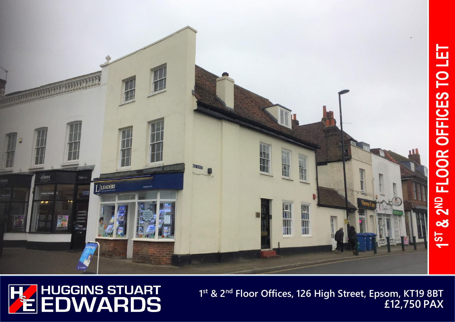



**1 st & 2nd Floor Offices, 126 High Street, Epsom, KT19 8BT £12,750 PAX**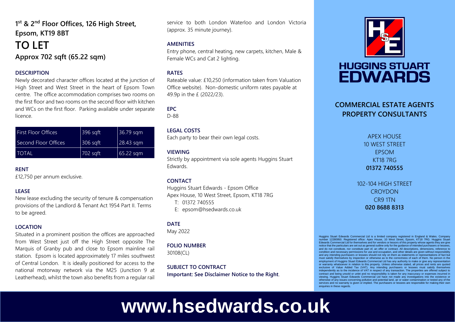## **1 st & 2nd Floor Offices, 126 High Street, Epsom, KT19 8BT**

# **TO LET Approx 702 sqft (65.22 sqm)**

#### **DESCRIPTION**

Newly decorated character offices located at the junction of High Street and West Street in the heart of Epsom Town centre. The office accommodation comprises two rooms on the first floor and two rooms on the second floor with kitchen and WCs on the first floor. Parking available under separate licence.

| <b>First Floor Offices</b> | 396 sqft | 36.79 sqm   |
|----------------------------|----------|-------------|
| Second Floor Offices       | 306 sqft | 28.43 sqm   |
| <b>TOTAL</b>               | 702 sqft | $65.22$ sqm |

#### **RENT**

£12,750 per annum exclusive.

#### **LEASE**

New lease excluding the security of tenure & compensation provisions of the Landlord & Tenant Act 1954 Part II. Terms to be agreed.

#### **LOCATION**

Situated in a prominent position the offices are approached from West Street just off the High Street opposite The Marquis of Granby pub and close to Epsom mainline rail station. Epsom is located approximately 17 miles southwest of Central London. It is ideally positioned for access to the national motorway network via the M25 (Junction 9 at Leatherhead), whilst the town also benefits from a regular rail service to both London Waterloo and London Victoria (approx. 35 minute journey).

#### **AMENITIES**

Entry phone, central heating, new carpets, kitchen, Male & Female WCs and Cat 2 lighting.

#### **RATES**

Rateable value: £10,250 (information taken from Valuation Office website). Non-domestic uniform rates payable at 49.9p in the £ (2022/23).

### **EPC**

D-88

#### **LEGAL COSTS**

Each party to bear their own legal costs.

#### **VIEWING**

Strictly by appointment via sole agents Huggins Stuart Edwards.

#### **CONTACT**

Huggins Stuart Edwards - Epsom Office Apex House, 10 West Street, Epsom, KT18 7RG

T: 01372 740555

E: epsom@hsedwards.co.uk

#### **DATE**

May 2022

#### **FOLIO NUMBER** 30108(CL)

**SUBJECT TO CONTRACT Important: See Disclaimer Notice to the Right**.



# **HUGGINS STUART EDWARDS**

## **COMMERCIAL ESTATE AGENTS PROPERTY CONSULTANTS**

APEX HOUSE 10 WEST STREET EPSOM KT18 7RG **01372 740555**

102-104 HIGH STREET **CROYDON** CR9 1TN **020 8688 8313**

Huggins Stuart Edwards Commercial Ltd is a limited company registered in England & Wales. Company number 12280950. Registered office: Apex House, 10 West Street, Epsom, KT18 7RG. Huggins Stuart Edwards Commercial Ltd for themselves and for vendors or lessors of this property whose agents they are give notice that the particulars are set out as general outline only for the guidance of intended purchasers or lessee and do not constitute, nor constitute part of, an offer or contract. All descriptions, dimensions, reference to condition and necessary permissions for use and occupation, and other details are given without responsibility and any intending purchasers or lessees should not rely on them as statements or representations of fact but must satisfy themselves by inspection or otherwise as to the correctness of each of them. No person in the employment of Huggins Stuart Edwards Commercial Ltd has any authority to make or give any representation or warranty whatsoever in relation to this property. Unless otherwise stated, all prices and rents are quoted exclusive of Value Added Tax (VAT). Any intending purchasers or lessees must satisfy themselves independently as to the incidence of VAT in respect of any transaction. The properties are offered subject to contract and being unsold or unlet and no responsibility is taken for any inaccuracy or expenses incurred in viewing. Huggins Stuart Edwards Commercial Ltd have not made any investigations into the existence or otherwise of any issues concerning pollution and potential land, air or water contamination or tested any of the services and no warranty is given or implied. The purchasers or lessees are responsible for making their own enquiries in these regards

# **www.hsedwards.co.uk**